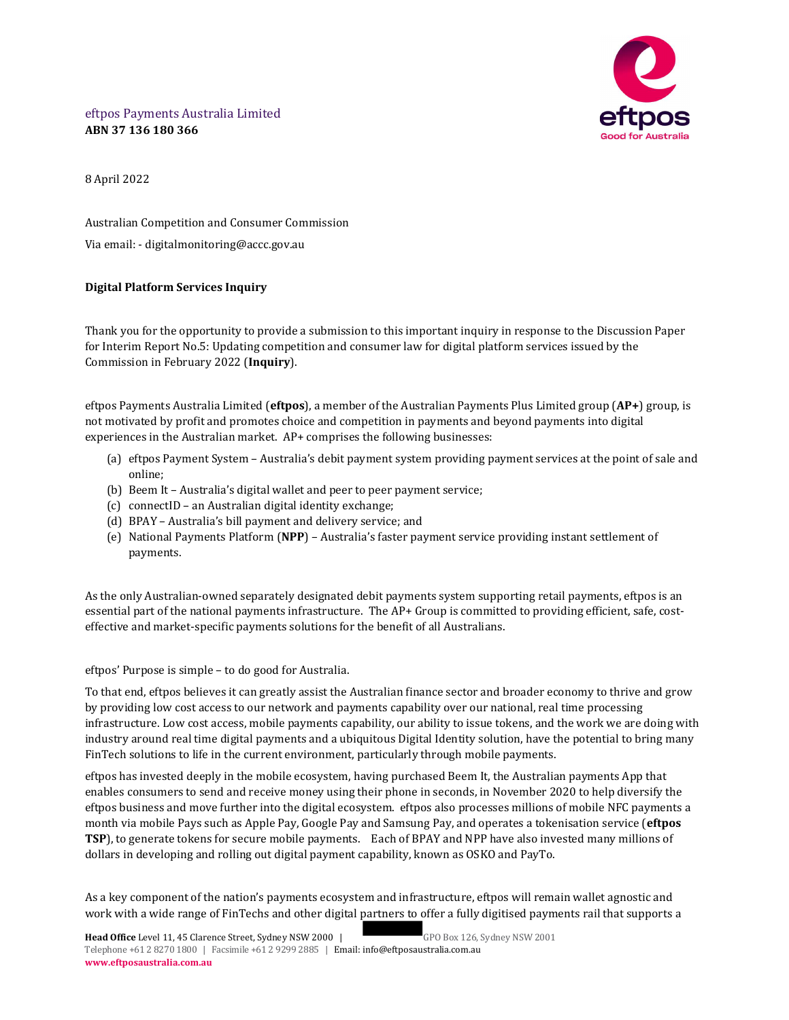

eftpos Payments Australia Limited ABN 37 136 180 366

8 April 2022

Australian Competition and Consumer Commission Via email: - digitalmonitoring@accc.gov.au

# Digital Platform Services Inquiry

Thank you for the opportunity to provide a submission to this important inquiry in response to the Discussion Paper for Interim Report No.5: Updating competition and consumer law for digital platform services issued by the Commission in February 2022 (Inquiry).

eftpos Payments Australia Limited (eftpos), a member of the Australian Payments Plus Limited group  $AP+$ ) group, is not motivated by profit and promotes choice and competition in payments and beyond payments into digital experiences in the Australian market. AP+ comprises the following businesses:

- (a) eftpos Payment System Australia's debit payment system providing payment services at the point of sale and online;
- (b) Beem It Australia's digital wallet and peer to peer payment service;
- (c) connectID an Australian digital identity exchange;
- (d) BPAY Australia's bill payment and delivery service; and
- (e) National Payments Platform (NPP) Australia's faster payment service providing instant settlement of payments.

As the only Australian-owned separately designated debit payments system supporting retail payments, eftpos is an essential part of the national payments infrastructure. The AP+ Group is committed to providing efficient, safe, costeffective and market-specific payments solutions for the benefit of all Australians.

eftpos' Purpose is simple – to do good for Australia.

To that end, eftpos believes it can greatly assist the Australian finance sector and broader economy to thrive and grow by providing low cost access to our network and payments capability over our national, real time processing infrastructure. Low cost access, mobile payments capability, our ability to issue tokens, and the work we are doing with industry around real time digital payments and a ubiquitous Digital Identity solution, have the potential to bring many FinTech solutions to life in the current environment, particularly through mobile payments.

eftpos has invested deeply in the mobile ecosystem, having purchased Beem It, the Australian payments App that enables consumers to send and receive money using their phone in seconds, in November 2020 to help diversify the eftpos business and move further into the digital ecosystem. eftpos also processes millions of mobile NFC payments a month via mobile Pays such as Apple Pay, Google Pay and Samsung Pay, and operates a tokenisation service (eftpos TSP), to generate tokens for secure mobile payments. Each of BPAY and NPP have also invested many millions of dollars in developing and rolling out digital payment capability, known as OSKO and PayTo.

As a key component of the nation's payments ecosystem and infrastructure, eftpos will remain wallet agnostic and work with a wide range of FinTechs and other digital partners to offer a fully digitised payments rail that supports a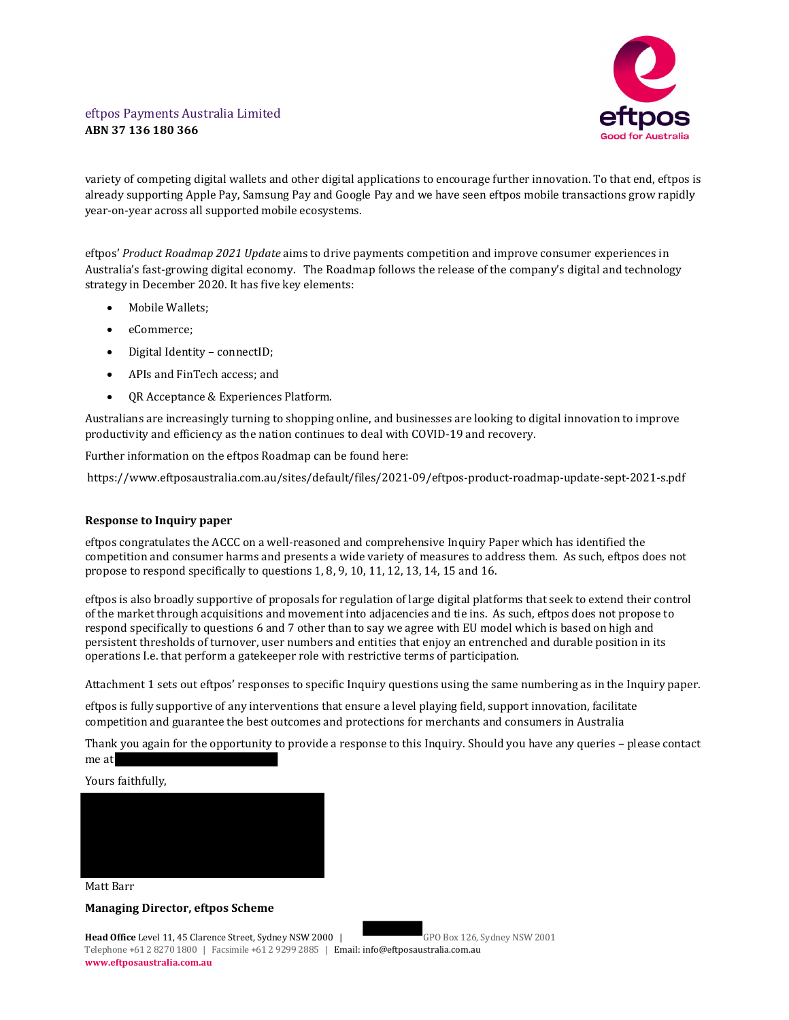

variety of competing digital wallets and other digital applications to encourage further innovation. To that end, eftpos is already supporting Apple Pay, Samsung Pay and Google Pay and we have seen eftpos mobile transactions grow rapidly year-on-year across all supported mobile ecosystems.

eftpos' Product Roadmap 2021 Update aims to drive payments competition and improve consumer experiences in Australia's fast-growing digital economy. The Roadmap follows the release of the company's digital and technology strategy in December 2020. It has five key elements:

- Mobile Wallets;
- eCommerce;
- Digital Identity connectID;
- APIs and FinTech access; and
- QR Acceptance & Experiences Platform.

Australians are increasingly turning to shopping online, and businesses are looking to digital innovation to improve productivity and efficiency as the nation continues to deal with COVID-19 and recovery.

Further information on the eftpos Roadmap can be found here:

https://www.eftposaustralia.com.au/sites/default/files/2021-09/eftpos-product-roadmap-update-sept-2021-s.pdf

# Response to Inquiry paper

eftpos congratulates the ACCC on a well-reasoned and comprehensive Inquiry Paper which has identified the competition and consumer harms and presents a wide variety of measures to address them. As such, eftpos does not propose to respond specifically to questions 1, 8, 9, 10, 11, 12, 13, 14, 15 and 16.

eftpos is also broadly supportive of proposals for regulation of large digital platforms that seek to extend their control of the market through acquisitions and movement into adjacencies and tie ins. As such, eftpos does not propose to respond specifically to questions 6 and 7 other than to say we agree with EU model which is based on high and persistent thresholds of turnover, user numbers and entities that enjoy an entrenched and durable position in its operations I.e. that perform a gatekeeper role with restrictive terms of participation.

Attachment 1 sets out eftpos' responses to specific Inquiry questions using the same numbering as in the Inquiry paper.

eftpos is fully supportive of any interventions that ensure a level playing field, support innovation, facilitate competition and guarantee the best outcomes and protections for merchants and consumers in Australia

Thank you again for the opportunity to provide a response to this Inquiry. Should you have any queries – please contact me at<br>Yours faithfully,



#### Matt Barr

# Managing Director, eftpos Scheme

Head Office Level 11, 45 Clarence Street, Sydney NSW 2000 | GPO Box 126, Sydney NSW 2001 Telephone +61 2 8270 1800 | Facsimile +61 2 9299 2885 | Email: info@eftposaustralia.com.au www.eftposaustralia.com.au

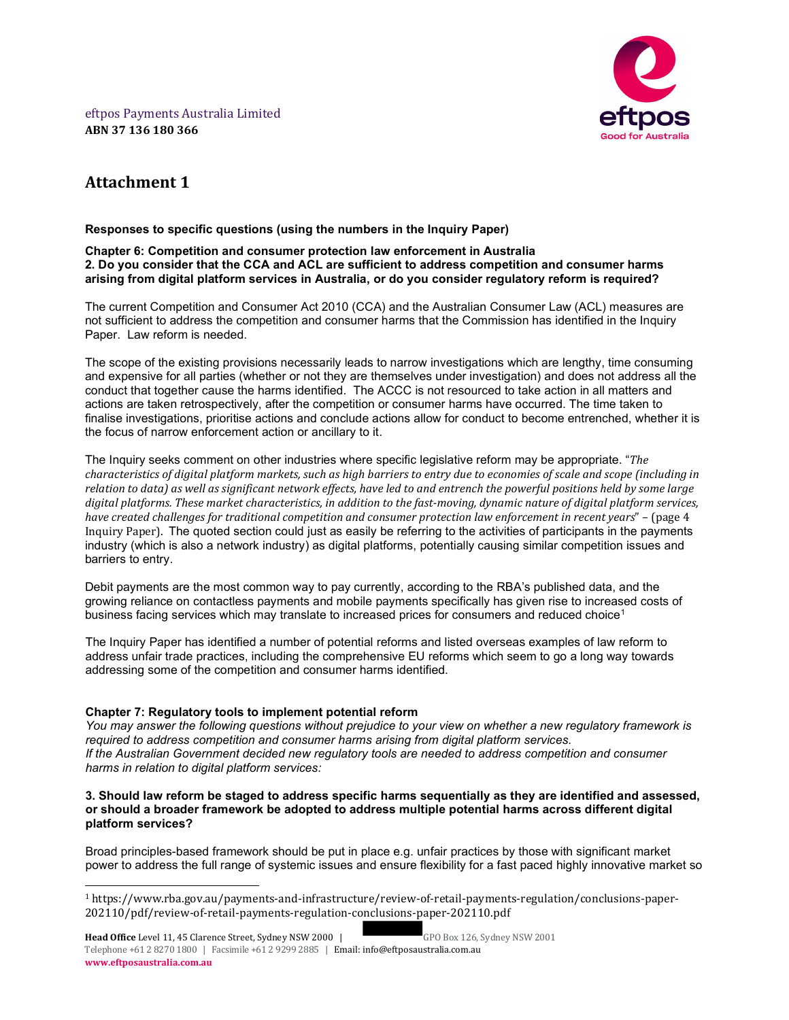eftpos Payments Australia Limited ABN 37 136 180 366



# Attachment 1

## Responses to specific questions (using the numbers in the Inquiry Paper)

### Chapter 6: Competition and consumer protection law enforcement in Australia 2. Do you consider that the CCA and ACL are sufficient to address competition and consumer harms arising from digital platform services in Australia, or do you consider regulatory reform is required?

The current Competition and Consumer Act 2010 (CCA) and the Australian Consumer Law (ACL) measures are not sufficient to address the competition and consumer harms that the Commission has identified in the Inquiry Paper. Law reform is needed.

The scope of the existing provisions necessarily leads to narrow investigations which are lengthy, time consuming and expensive for all parties (whether or not they are themselves under investigation) and does not address all the conduct that together cause the harms identified. The ACCC is not resourced to take action in all matters and actions are taken retrospectively, after the competition or consumer harms have occurred. The time taken to finalise investigations, prioritise actions and conclude actions allow for conduct to become entrenched, whether it is the focus of narrow enforcement action or ancillary to it.

The Inquiry seeks comment on other industries where specific legislative reform may be appropriate. "The characteristics of digital platform markets, such as high barriers to entry due to economies of scale and scope (including in relation to data) as well as significant network effects, have led to and entrench the powerful positions held by some large digital platforms. These market characteristics, in addition to the fast-moving, dynamic nature of digital platform services, have created challenges for traditional competition and consumer protection law enforcement in recent years" – (page 4 Inquiry Paper). The quoted section could just as easily be referring to the activities of participants in the payments industry (which is also a network industry) as digital platforms, potentially causing similar competition issues and barriers to entry.

Debit payments are the most common way to pay currently, according to the RBA's published data, and the growing reliance on contactless payments and mobile payments specifically has given rise to increased costs of business facing services which may translate to increased prices for consumers and reduced choice<sup>1</sup>

The Inquiry Paper has identified a number of potential reforms and listed overseas examples of law reform to address unfair trade practices, including the comprehensive EU reforms which seem to go a long way towards addressing some of the competition and consumer harms identified.

# Chapter 7: Regulatory tools to implement potential reform

You may answer the following questions without prejudice to your view on whether a new regulatory framework is required to address competition and consumer harms arising from digital platform services. If the Australian Government decided new regulatory tools are needed to address competition and consumer harms in relation to digital platform services:

#### 3. Should law reform be staged to address specific harms sequentially as they are identified and assessed, or should a broader framework be adopted to address multiple potential harms across different digital platform services?

Broad principles-based framework should be put in place e.g. unfair practices by those with significant market power to address the full range of systemic issues and ensure flexibility for a fast paced highly innovative market so

<sup>1</sup> https://www.rba.gov.au/payments-and-infrastructure/review-of-retail-payments-regulation/conclusions-paper-202110/pdf/review-of-retail-payments-regulation-conclusions-paper-202110.pdf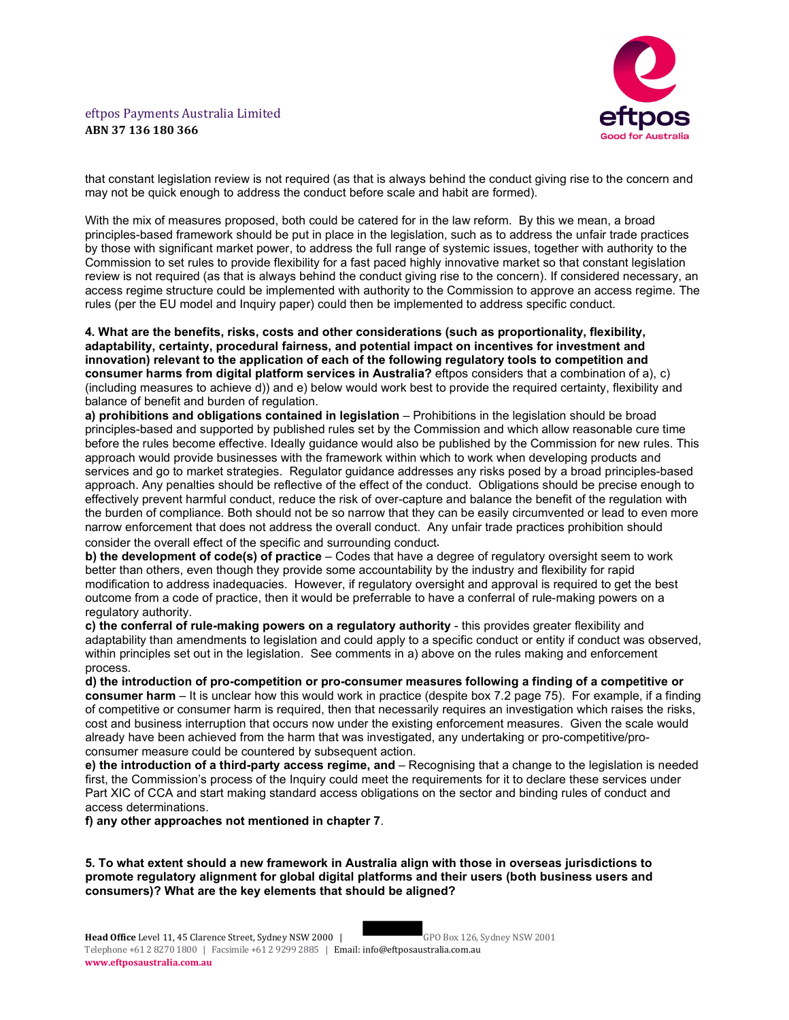

that constant legislation review is not required (as that is always behind the conduct giving rise to the concern and may not be quick enough to address the conduct before scale and habit are formed).

With the mix of measures proposed, both could be catered for in the law reform. By this we mean, a broad principles-based framework should be put in place in the legislation, such as to address the unfair trade practices by those with significant market power, to address the full range of systemic issues, together with authority to the Commission to set rules to provide flexibility for a fast paced highly innovative market so that constant legislation review is not required (as that is always behind the conduct giving rise to the concern). If considered necessary, an access regime structure could be implemented with authority to the Commission to approve an access regime. The rules (per the EU model and Inquiry paper) could then be implemented to address specific conduct.

4. What are the benefits, risks, costs and other considerations (such as proportionality, flexibility, adaptability, certainty, procedural fairness, and potential impact on incentives for investment and innovation) relevant to the application of each of the following regulatory tools to competition and consumer harms from digital platform services in Australia? eftpos considers that a combination of a), c) (including measures to achieve d)) and e) below would work best to provide the required certainty, flexibility and balance of benefit and burden of regulation.

a) prohibitions and obligations contained in legislation – Prohibitions in the legislation should be broad principles-based and supported by published rules set by the Commission and which allow reasonable cure time before the rules become effective. Ideally guidance would also be published by the Commission for new rules. This approach would provide businesses with the framework within which to work when developing products and services and go to market strategies. Regulator guidance addresses any risks posed by a broad principles-based approach. Any penalties should be reflective of the effect of the conduct. Obligations should be precise enough to effectively prevent harmful conduct, reduce the risk of over-capture and balance the benefit of the regulation with the burden of compliance. Both should not be so narrow that they can be easily circumvented or lead to even more narrow enforcement that does not address the overall conduct. Any unfair trade practices prohibition should consider the overall effect of the specific and surrounding conduct.

b) the development of code(s) of practice – Codes that have a degree of regulatory oversight seem to work better than others, even though they provide some accountability by the industry and flexibility for rapid modification to address inadequacies. However, if regulatory oversight and approval is required to get the best outcome from a code of practice, then it would be preferrable to have a conferral of rule-making powers on a regulatory authority.

c) the conferral of rule-making powers on a regulatory authority - this provides greater flexibility and adaptability than amendments to legislation and could apply to a specific conduct or entity if conduct was observed, within principles set out in the legislation. See comments in a) above on the rules making and enforcement process.

d) the introduction of pro-competition or pro-consumer measures following a finding of a competitive or consumer harm – It is unclear how this would work in practice (despite box 7.2 page 75). For example, if a finding of competitive or consumer harm is required, then that necessarily requires an investigation which raises the risks, cost and business interruption that occurs now under the existing enforcement measures. Given the scale would already have been achieved from the harm that was investigated, any undertaking or pro-competitive/proconsumer measure could be countered by subsequent action.

e) the introduction of a third-party access regime, and – Recognising that a change to the legislation is needed first, the Commission's process of the Inquiry could meet the requirements for it to declare these services under Part XIC of CCA and start making standard access obligations on the sector and binding rules of conduct and access determinations.

f) any other approaches not mentioned in chapter 7.

5. To what extent should a new framework in Australia align with those in overseas jurisdictions to promote regulatory alignment for global digital platforms and their users (both business users and consumers)? What are the key elements that should be aligned?